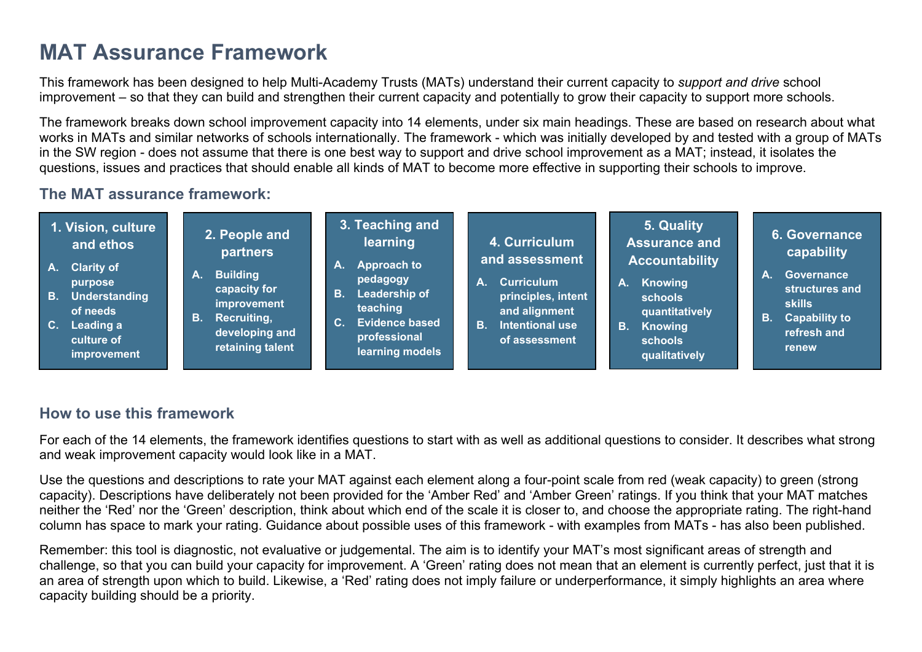## **MAT Assurance Framework**

This framework has been designed to help Multi-Academy Trusts (MATs) understand their current capacity to *support and drive* school improvement – so that they can build and strengthen their current capacity and potentially to grow their capacity to support more schools.

The framework breaks down school improvement capacity into 14 elements, under six main headings. These are based on research about what works in MATs and similar networks of schools internationally. The framework - which was initially developed by and tested with a group of MATs in the SW region - does not assume that there is one best way to support and drive school improvement as a MAT; instead, it isolates the questions, issues and practices that should enable all kinds of MAT to become more effective in supporting their schools to improve.

## **The MAT assurance framework:**



## **How to use this framework**

For each of the 14 elements, the framework identifies questions to start with as well as additional questions to consider. It describes what strong and weak improvement capacity would look like in a MAT.

Use the questions and descriptions to rate your MAT against each element along a four-point scale from red (weak capacity) to green (strong capacity). Descriptions have deliberately not been provided for the 'Amber Red' and 'Amber Green' ratings. If you think that your MAT matches neither the 'Red' nor the 'Green' description, think about which end of the scale it is closer to, and choose the appropriate rating. The right-hand column has space to mark your rating. Guidance about possible uses of this framework - with examples from MATs - has also been published.

Remember: this tool is diagnostic, not evaluative or judgemental. The aim is to identify your MAT's most significant areas of strength and challenge, so that you can build your capacity for improvement. A 'Green' rating does not mean that an element is currently perfect, just that it is an area of strength upon which to build. Likewise, a 'Red' rating does not imply failure or underperformance, it simply highlights an area where capacity building should be a priority.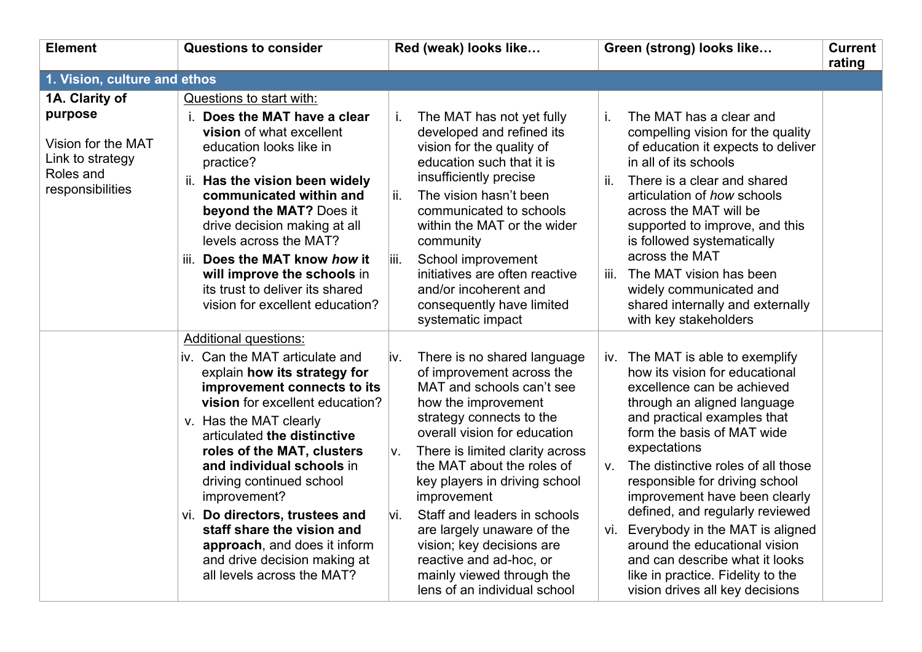| <b>Element</b>                                                                                       | <b>Questions to consider</b>                                                                                                                                                                                                                                                                                                                                                                     | Red (weak) looks like                                                                                                                                                                                                                                                                                                                                                                                    | Green (strong) looks like                                                                                                                                                                                                                                                                                                                                                                                                                          | <b>Current</b><br>rating |
|------------------------------------------------------------------------------------------------------|--------------------------------------------------------------------------------------------------------------------------------------------------------------------------------------------------------------------------------------------------------------------------------------------------------------------------------------------------------------------------------------------------|----------------------------------------------------------------------------------------------------------------------------------------------------------------------------------------------------------------------------------------------------------------------------------------------------------------------------------------------------------------------------------------------------------|----------------------------------------------------------------------------------------------------------------------------------------------------------------------------------------------------------------------------------------------------------------------------------------------------------------------------------------------------------------------------------------------------------------------------------------------------|--------------------------|
| 1. Vision, culture and ethos                                                                         |                                                                                                                                                                                                                                                                                                                                                                                                  |                                                                                                                                                                                                                                                                                                                                                                                                          |                                                                                                                                                                                                                                                                                                                                                                                                                                                    |                          |
| 1A. Clarity of<br>purpose<br>Vision for the MAT<br>Link to strategy<br>Roles and<br>responsibilities | Questions to start with:<br>i. Does the MAT have a clear<br>vision of what excellent<br>education looks like in<br>practice?<br>ii. Has the vision been widely<br>communicated within and<br>beyond the MAT? Does it<br>drive decision making at all<br>levels across the MAT?<br>iii. Does the MAT know how it<br>will improve the schools in                                                   | The MAT has not yet fully<br>İ.<br>developed and refined its<br>vision for the quality of<br>education such that it is<br>insufficiently precise<br>The vision hasn't been<br>ii.<br>communicated to schools<br>within the MAT or the wider<br>community<br>School improvement<br>liii.<br>initiatives are often reactive                                                                                | The MAT has a clear and<br>i.<br>compelling vision for the quality<br>of education it expects to deliver<br>in all of its schools<br>There is a clear and shared<br>ii.<br>articulation of how schools<br>across the MAT will be<br>supported to improve, and this<br>is followed systematically<br>across the MAT<br>The MAT vision has been<br>iii.                                                                                              |                          |
|                                                                                                      | its trust to deliver its shared<br>vision for excellent education?<br><b>Additional questions:</b>                                                                                                                                                                                                                                                                                               | and/or incoherent and<br>consequently have limited<br>systematic impact                                                                                                                                                                                                                                                                                                                                  | widely communicated and<br>shared internally and externally<br>with key stakeholders                                                                                                                                                                                                                                                                                                                                                               |                          |
|                                                                                                      | iv. Can the MAT articulate and<br>explain how its strategy for<br>improvement connects to its<br>vision for excellent education?<br>v. Has the MAT clearly<br>articulated the distinctive<br>roles of the MAT, clusters<br>and individual schools in<br>driving continued school<br>improvement?<br>vi. Do directors, trustees and<br>staff share the vision and<br>approach, and does it inform | There is no shared language<br>iv.<br>of improvement across the<br>MAT and schools can't see<br>how the improvement<br>strategy connects to the<br>overall vision for education<br>There is limited clarity across<br>V.<br>the MAT about the roles of<br>key players in driving school<br>improvement<br>Staff and leaders in schools<br>vi.<br>are largely unaware of the<br>vision; key decisions are | iv. The MAT is able to exemplify<br>how its vision for educational<br>excellence can be achieved<br>through an aligned language<br>and practical examples that<br>form the basis of MAT wide<br>expectations<br>The distinctive roles of all those<br>$V_{\cdot}$<br>responsible for driving school<br>improvement have been clearly<br>defined, and regularly reviewed<br>Everybody in the MAT is aligned<br>vi.<br>around the educational vision |                          |
|                                                                                                      | and drive decision making at<br>all levels across the MAT?                                                                                                                                                                                                                                                                                                                                       | reactive and ad-hoc, or<br>mainly viewed through the<br>lens of an individual school                                                                                                                                                                                                                                                                                                                     | and can describe what it looks<br>like in practice. Fidelity to the<br>vision drives all key decisions                                                                                                                                                                                                                                                                                                                                             |                          |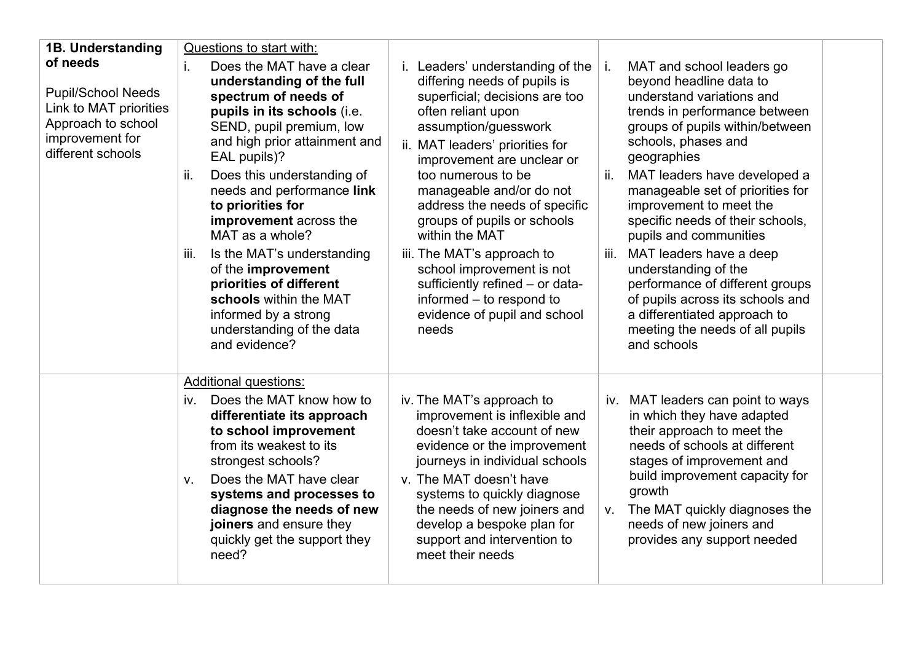| 1B. Understanding<br>of needs<br><b>Pupil/School Needs</b><br>Link to MAT priorities<br>Approach to school<br>improvement for<br>different schools | Questions to start with:<br>Does the MAT have a clear<br>i.<br>understanding of the full<br>spectrum of needs of<br>pupils in its schools (i.e.<br>SEND, pupil premium, low<br>and high prior attainment and<br>EAL pupils)?<br>Does this understanding of<br>ii.<br>needs and performance link<br>to priorities for<br>improvement across the<br>MAT as a whole?<br>Is the MAT's understanding<br>iii.<br>of the improvement | i. Leaders' understanding of the<br>differing needs of pupils is<br>superficial; decisions are too<br>often reliant upon<br>assumption/guesswork<br>ii. MAT leaders' priorities for<br>improvement are unclear or<br>too numerous to be<br>manageable and/or do not<br>address the needs of specific<br>groups of pupils or schools<br>within the MAT<br>iii. The MAT's approach to<br>school improvement is not | MAT and school leaders go<br>Ť.<br>beyond headline data to<br>understand variations and<br>trends in performance between<br>groups of pupils within/between<br>schools, phases and<br>geographies<br>ii.<br>MAT leaders have developed a<br>manageable set of priorities for<br>improvement to meet the<br>specific needs of their schools,<br>pupils and communities<br>MAT leaders have a deep<br>iii.<br>understanding of the |
|----------------------------------------------------------------------------------------------------------------------------------------------------|-------------------------------------------------------------------------------------------------------------------------------------------------------------------------------------------------------------------------------------------------------------------------------------------------------------------------------------------------------------------------------------------------------------------------------|------------------------------------------------------------------------------------------------------------------------------------------------------------------------------------------------------------------------------------------------------------------------------------------------------------------------------------------------------------------------------------------------------------------|----------------------------------------------------------------------------------------------------------------------------------------------------------------------------------------------------------------------------------------------------------------------------------------------------------------------------------------------------------------------------------------------------------------------------------|
|                                                                                                                                                    | priorities of different<br>schools within the MAT<br>informed by a strong<br>understanding of the data<br>and evidence?                                                                                                                                                                                                                                                                                                       | sufficiently refined - or data-<br>informed – to respond to<br>evidence of pupil and school<br>needs                                                                                                                                                                                                                                                                                                             | performance of different groups<br>of pupils across its schools and<br>a differentiated approach to<br>meeting the needs of all pupils<br>and schools                                                                                                                                                                                                                                                                            |
|                                                                                                                                                    | <b>Additional questions:</b><br>Does the MAT know how to<br>iv.<br>differentiate its approach<br>to school improvement<br>from its weakest to its<br>strongest schools?<br>Does the MAT have clear<br>$V_{\cdot}$<br>systems and processes to<br>diagnose the needs of new<br>joiners and ensure they<br>quickly get the support they<br>need?                                                                                | iv. The MAT's approach to<br>improvement is inflexible and<br>doesn't take account of new<br>evidence or the improvement<br>journeys in individual schools<br>v. The MAT doesn't have<br>systems to quickly diagnose<br>the needs of new joiners and<br>develop a bespoke plan for<br>support and intervention to<br>meet their needs                                                                            | iv. MAT leaders can point to ways<br>in which they have adapted<br>their approach to meet the<br>needs of schools at different<br>stages of improvement and<br>build improvement capacity for<br>growth<br>The MAT quickly diagnoses the<br>V.<br>needs of new joiners and<br>provides any support needed                                                                                                                        |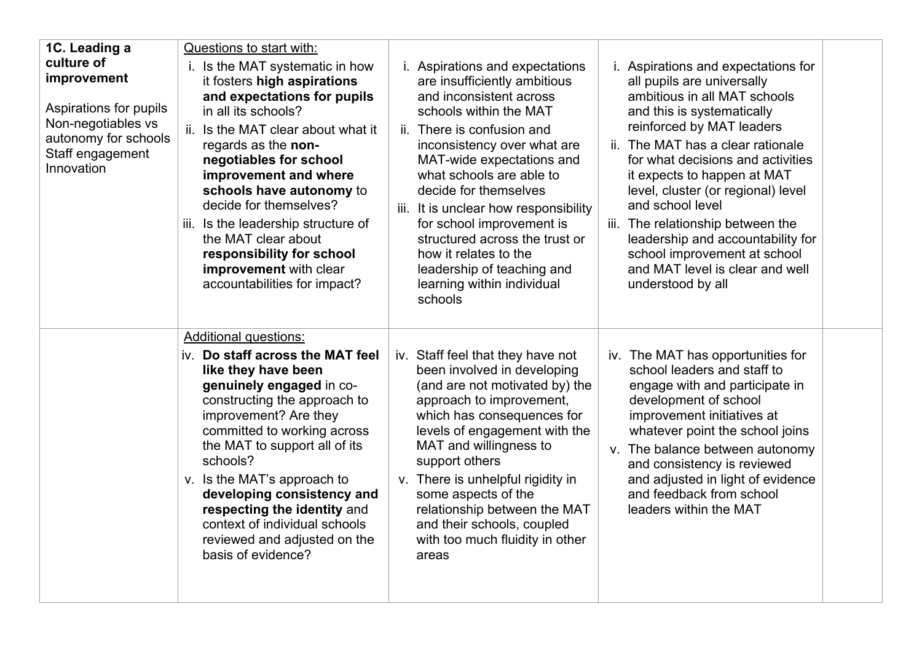| 1C. Leading a<br>culture of<br>improvement<br>Aspirations for pupils<br>Non-negotiables vs<br>autonomy for schools<br>Staff engagement<br>Innovation | Questions to start with:<br>i. Is the MAT systematic in how<br>it fosters high aspirations<br>and expectations for pupils<br>in all its schools?<br>Is the MAT clear about what it<br>ii.<br>regards as the non-<br>negotiables for school<br>improvement and where<br>schools have autonomy to<br>decide for themselves?<br>Is the leadership structure of<br>III.<br>the MAT clear about<br>responsibility for school<br>improvement with clear<br>accountabilities for impact? | <i>i.</i> Aspirations and expectations<br>are insufficiently ambitious<br>and inconsistent across<br>schools within the MAT<br>ii. There is confusion and<br>inconsistency over what are<br>MAT-wide expectations and<br>what schools are able to<br>decide for themselves<br>iii. It is unclear how responsibility<br>for school improvement is<br>structured across the trust or<br>how it relates to the<br>leadership of teaching and<br>learning within individual<br>schools | i. Aspirations and expectations for<br>all pupils are universally<br>ambitious in all MAT schools<br>and this is systematically<br>reinforced by MAT leaders<br>ii. The MAT has a clear rationale<br>for what decisions and activities<br>it expects to happen at MAT<br>level, cluster (or regional) level<br>and school level<br>iii. The relationship between the<br>leadership and accountability for<br>school improvement at school<br>and MAT level is clear and well<br>understood by all |
|------------------------------------------------------------------------------------------------------------------------------------------------------|-----------------------------------------------------------------------------------------------------------------------------------------------------------------------------------------------------------------------------------------------------------------------------------------------------------------------------------------------------------------------------------------------------------------------------------------------------------------------------------|------------------------------------------------------------------------------------------------------------------------------------------------------------------------------------------------------------------------------------------------------------------------------------------------------------------------------------------------------------------------------------------------------------------------------------------------------------------------------------|---------------------------------------------------------------------------------------------------------------------------------------------------------------------------------------------------------------------------------------------------------------------------------------------------------------------------------------------------------------------------------------------------------------------------------------------------------------------------------------------------|
|                                                                                                                                                      | <b>Additional questions:</b><br>iv. Do staff across the MAT feel<br>like they have been<br>genuinely engaged in co-<br>constructing the approach to<br>improvement? Are they<br>committed to working across<br>the MAT to support all of its<br>schools?<br>v. Is the MAT's approach to<br>developing consistency and<br>respecting the identity and<br>context of individual schools<br>reviewed and adjusted on the<br>basis of evidence?                                       | iv. Staff feel that they have not<br>been involved in developing<br>(and are not motivated by) the<br>approach to improvement,<br>which has consequences for<br>levels of engagement with the<br>MAT and willingness to<br>support others<br>v. There is unhelpful rigidity in<br>some aspects of the<br>relationship between the MAT<br>and their schools, coupled<br>with too much fluidity in other<br>areas                                                                    | iv. The MAT has opportunities for<br>school leaders and staff to<br>engage with and participate in<br>development of school<br>improvement initiatives at<br>whatever point the school joins<br>v. The balance between autonomy<br>and consistency is reviewed<br>and adjusted in light of evidence<br>and feedback from school<br>leaders within the MAT                                                                                                                                         |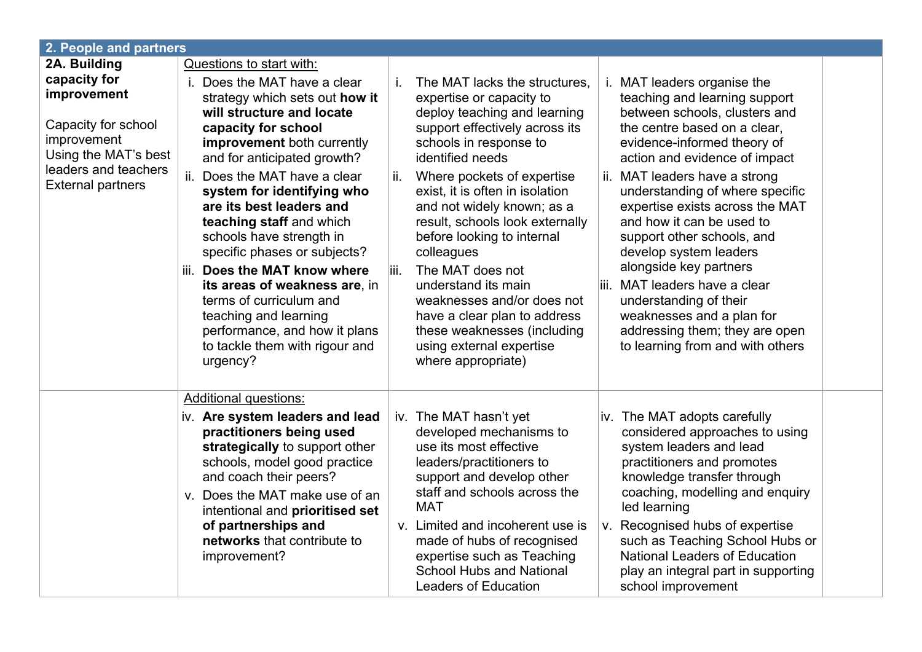| 2. People and partners                                                                                                                                        |                                                                                                                                                                                                                                                                                                                                                                                                                                                                                                                                                                                                                  |                                                                                                                                                                                                                                                                                                                                                                                                                                                                                                                                                                                                                                                                                                                                                                                                                                                                                                                                                                                                                                                                                                                                                        |  |  |  |
|---------------------------------------------------------------------------------------------------------------------------------------------------------------|------------------------------------------------------------------------------------------------------------------------------------------------------------------------------------------------------------------------------------------------------------------------------------------------------------------------------------------------------------------------------------------------------------------------------------------------------------------------------------------------------------------------------------------------------------------------------------------------------------------|--------------------------------------------------------------------------------------------------------------------------------------------------------------------------------------------------------------------------------------------------------------------------------------------------------------------------------------------------------------------------------------------------------------------------------------------------------------------------------------------------------------------------------------------------------------------------------------------------------------------------------------------------------------------------------------------------------------------------------------------------------------------------------------------------------------------------------------------------------------------------------------------------------------------------------------------------------------------------------------------------------------------------------------------------------------------------------------------------------------------------------------------------------|--|--|--|
| 2A. Building<br>capacity for<br>improvement<br>Capacity for school<br>improvement<br>Using the MAT's best<br>leaders and teachers<br><b>External partners</b> | <b>Questions to start with:</b><br>i. Does the MAT have a clear<br>strategy which sets out how it<br>will structure and locate<br>capacity for school<br><b>improvement</b> both currently<br>and for anticipated growth?<br>ii. Does the MAT have a clear<br>system for identifying who<br>are its best leaders and<br>teaching staff and which<br>schools have strength in<br>specific phases or subjects?<br>iii. Does the MAT know where<br>its areas of weakness are, in<br>terms of curriculum and<br>teaching and learning<br>performance, and how it plans<br>to tackle them with rigour and<br>urgency? | The MAT lacks the structures.<br>i. MAT leaders organise the<br>teaching and learning support<br>expertise or capacity to<br>deploy teaching and learning<br>between schools, clusters and<br>support effectively across its<br>the centre based on a clear,<br>schools in response to<br>evidence-informed theory of<br>identified needs<br>action and evidence of impact<br>Where pockets of expertise<br>ii. MAT leaders have a strong<br>ii.<br>understanding of where specific<br>exist, it is often in isolation<br>expertise exists across the MAT<br>and not widely known; as a<br>result, schools look externally<br>and how it can be used to<br>before looking to internal<br>support other schools, and<br>develop system leaders<br>colleagues<br>alongside key partners<br>liii.<br>The MAT does not<br>iii. MAT leaders have a clear<br>understand its main<br>understanding of their<br>weaknesses and/or does not<br>weaknesses and a plan for<br>have a clear plan to address<br>these weaknesses (including<br>addressing them; they are open<br>using external expertise<br>to learning from and with others<br>where appropriate) |  |  |  |
|                                                                                                                                                               | <b>Additional questions:</b><br>iv. Are system leaders and lead<br>practitioners being used<br>strategically to support other<br>schools, model good practice<br>and coach their peers?<br>v. Does the MAT make use of an<br>intentional and prioritised set<br>of partnerships and<br>networks that contribute to<br>improvement?                                                                                                                                                                                                                                                                               | iv. The MAT hasn't yet<br>iv. The MAT adopts carefully<br>developed mechanisms to<br>considered approaches to using<br>use its most effective<br>system leaders and lead<br>leaders/practitioners to<br>practitioners and promotes<br>knowledge transfer through<br>support and develop other<br>staff and schools across the<br>coaching, modelling and enquiry<br><b>MAT</b><br>led learning<br>v. Limited and incoherent use is<br>v. Recognised hubs of expertise<br>made of hubs of recognised<br>such as Teaching School Hubs or<br><b>National Leaders of Education</b><br>expertise such as Teaching<br><b>School Hubs and National</b><br>play an integral part in supporting<br><b>Leaders of Education</b><br>school improvement                                                                                                                                                                                                                                                                                                                                                                                                            |  |  |  |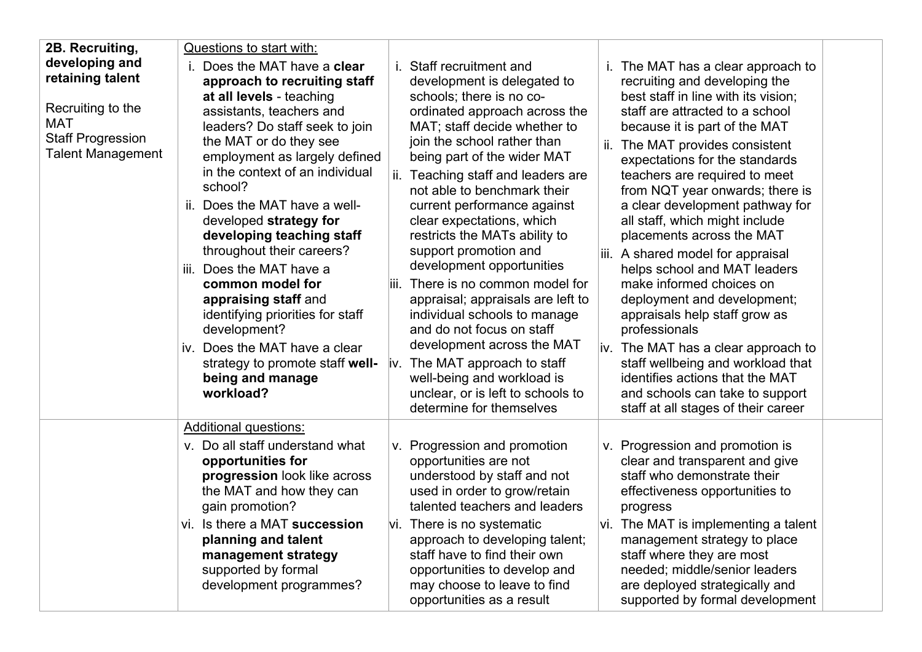| 2B. Recruiting,                                                                                                               | Questions to start with:                                                                                                                                                                                                                                                                                                                                                                                                                                                                                                                                                                                                    |                                                                                                                                                                                                                                                                                                                                                                                                                                                                                                                                                                                                                                                                                                                                                 |                                                                                                                                                                                                                                                                                                                                                                                                                                                                                                                                                                                                                                                                                                                                                                                                            |
|-------------------------------------------------------------------------------------------------------------------------------|-----------------------------------------------------------------------------------------------------------------------------------------------------------------------------------------------------------------------------------------------------------------------------------------------------------------------------------------------------------------------------------------------------------------------------------------------------------------------------------------------------------------------------------------------------------------------------------------------------------------------------|-------------------------------------------------------------------------------------------------------------------------------------------------------------------------------------------------------------------------------------------------------------------------------------------------------------------------------------------------------------------------------------------------------------------------------------------------------------------------------------------------------------------------------------------------------------------------------------------------------------------------------------------------------------------------------------------------------------------------------------------------|------------------------------------------------------------------------------------------------------------------------------------------------------------------------------------------------------------------------------------------------------------------------------------------------------------------------------------------------------------------------------------------------------------------------------------------------------------------------------------------------------------------------------------------------------------------------------------------------------------------------------------------------------------------------------------------------------------------------------------------------------------------------------------------------------------|
| developing and<br>retaining talent<br>Recruiting to the<br><b>MAT</b><br><b>Staff Progression</b><br><b>Talent Management</b> | Does the MAT have a clear<br>approach to recruiting staff<br>at all levels - teaching<br>assistants, teachers and<br>leaders? Do staff seek to join<br>the MAT or do they see<br>employment as largely defined<br>in the context of an individual<br>school?<br>Does the MAT have a well-<br>ii.<br>developed strategy for<br>developing teaching staff<br>throughout their careers?<br>Does the MAT have a<br>iii.<br>common model for<br>appraising staff and<br>identifying priorities for staff<br>development?<br>Does the MAT have a clear<br>iv.<br>strategy to promote staff well-<br>being and manage<br>workload? | i. Staff recruitment and<br>development is delegated to<br>schools; there is no co-<br>ordinated approach across the<br>MAT; staff decide whether to<br>join the school rather than<br>being part of the wider MAT<br>ii. Teaching staff and leaders are<br>not able to benchmark their<br>current performance against<br>clear expectations, which<br>restricts the MATs ability to<br>support promotion and<br>development opportunities<br>iii. There is no common model for<br>appraisal; appraisals are left to<br>individual schools to manage<br>and do not focus on staff<br>development across the MAT<br>iv. The MAT approach to staff<br>well-being and workload is<br>unclear, or is left to schools to<br>determine for themselves | i. The MAT has a clear approach to<br>recruiting and developing the<br>best staff in line with its vision;<br>staff are attracted to a school<br>because it is part of the MAT<br>The MAT provides consistent<br>ii.<br>expectations for the standards<br>teachers are required to meet<br>from NQT year onwards; there is<br>a clear development pathway for<br>all staff, which might include<br>placements across the MAT<br>A shared model for appraisal<br>III.<br>helps school and MAT leaders<br>make informed choices on<br>deployment and development;<br>appraisals help staff grow as<br>professionals<br>iv. The MAT has a clear approach to<br>staff wellbeing and workload that<br>identifies actions that the MAT<br>and schools can take to support<br>staff at all stages of their career |
|                                                                                                                               | <b>Additional questions:</b>                                                                                                                                                                                                                                                                                                                                                                                                                                                                                                                                                                                                |                                                                                                                                                                                                                                                                                                                                                                                                                                                                                                                                                                                                                                                                                                                                                 |                                                                                                                                                                                                                                                                                                                                                                                                                                                                                                                                                                                                                                                                                                                                                                                                            |
|                                                                                                                               | v. Do all staff understand what<br>opportunities for<br>progression look like across<br>the MAT and how they can<br>gain promotion?                                                                                                                                                                                                                                                                                                                                                                                                                                                                                         | v. Progression and promotion<br>opportunities are not<br>understood by staff and not<br>used in order to grow/retain<br>talented teachers and leaders                                                                                                                                                                                                                                                                                                                                                                                                                                                                                                                                                                                           | v. Progression and promotion is<br>clear and transparent and give<br>staff who demonstrate their<br>effectiveness opportunities to<br>progress                                                                                                                                                                                                                                                                                                                                                                                                                                                                                                                                                                                                                                                             |
|                                                                                                                               | vi. Is there a MAT succession<br>VI.<br>planning and talent<br>management strategy<br>supported by formal<br>development programmes?                                                                                                                                                                                                                                                                                                                                                                                                                                                                                        | There is no systematic<br>approach to developing talent;<br>staff have to find their own<br>opportunities to develop and<br>may choose to leave to find<br>opportunities as a result                                                                                                                                                                                                                                                                                                                                                                                                                                                                                                                                                            | vi. The MAT is implementing a talent<br>management strategy to place<br>staff where they are most<br>needed; middle/senior leaders<br>are deployed strategically and<br>supported by formal development                                                                                                                                                                                                                                                                                                                                                                                                                                                                                                                                                                                                    |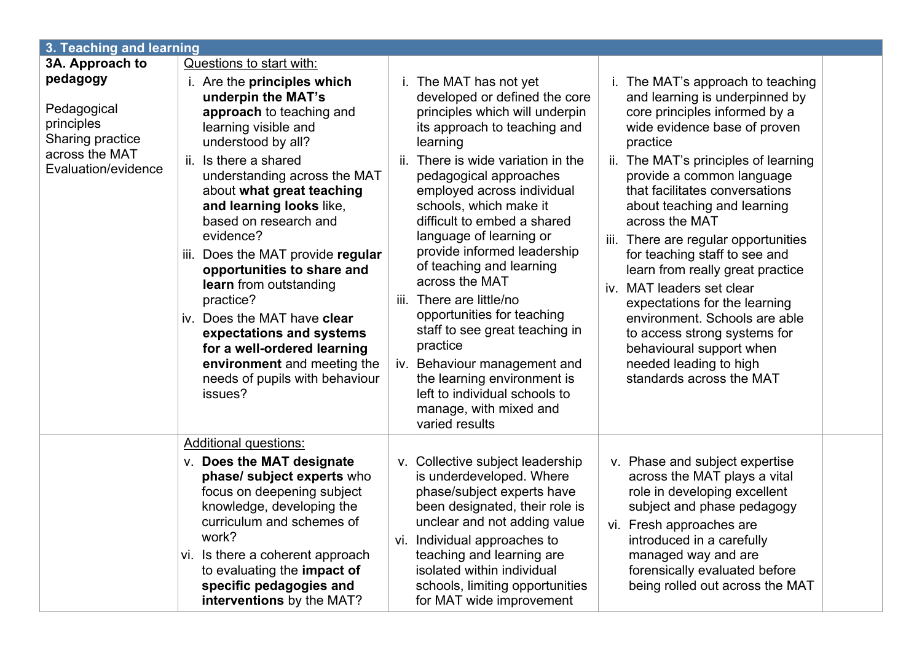| 3. Teaching and learning                                                                                  |                                                                                                                                                                                                                                                                                                                                                                                                                                                                                                                                                                                                                                                                                                                                                                                                                                                                                                                                                                                                                                                                                                                                                                                                                                                                                                                                                                                                                                                                                                                                                                                                                                                                                                                                                                                                                                                                                             |  |
|-----------------------------------------------------------------------------------------------------------|---------------------------------------------------------------------------------------------------------------------------------------------------------------------------------------------------------------------------------------------------------------------------------------------------------------------------------------------------------------------------------------------------------------------------------------------------------------------------------------------------------------------------------------------------------------------------------------------------------------------------------------------------------------------------------------------------------------------------------------------------------------------------------------------------------------------------------------------------------------------------------------------------------------------------------------------------------------------------------------------------------------------------------------------------------------------------------------------------------------------------------------------------------------------------------------------------------------------------------------------------------------------------------------------------------------------------------------------------------------------------------------------------------------------------------------------------------------------------------------------------------------------------------------------------------------------------------------------------------------------------------------------------------------------------------------------------------------------------------------------------------------------------------------------------------------------------------------------------------------------------------------------|--|
| 3A. Approach to                                                                                           | Questions to start with:                                                                                                                                                                                                                                                                                                                                                                                                                                                                                                                                                                                                                                                                                                                                                                                                                                                                                                                                                                                                                                                                                                                                                                                                                                                                                                                                                                                                                                                                                                                                                                                                                                                                                                                                                                                                                                                                    |  |
| pedagogy<br>Pedagogical<br>principles<br><b>Sharing practice</b><br>across the MAT<br>Evaluation/evidence | i. The MAT has not yet<br>i. Are the principles which<br>i. The MAT's approach to teaching<br>underpin the MAT's<br>developed or defined the core<br>and learning is underpinned by<br>approach to teaching and<br>principles which will underpin<br>core principles informed by a<br>learning visible and<br>its approach to teaching and<br>wide evidence base of proven<br>understood by all?<br>learning<br>practice<br>Is there a shared<br>ii.<br>There is wide variation in the<br>ii. The MAT's principles of learning<br>ii.<br>understanding across the MAT<br>pedagogical approaches<br>provide a common language<br>about what great teaching<br>that facilitates conversations<br>employed across individual<br>and learning looks like,<br>schools, which make it<br>about teaching and learning<br>based on research and<br>difficult to embed a shared<br>across the MAT<br>evidence?<br>language of learning or<br>There are regular opportunities<br>iii.<br>provide informed leadership<br>Does the MAT provide regular<br>for teaching staff to see and<br>iii.<br>of teaching and learning<br>opportunities to share and<br>learn from really great practice<br>across the MAT<br>learn from outstanding<br>iv. MAT leaders set clear<br>practice?<br>There are little/no<br>iii.<br>expectations for the learning<br>opportunities for teaching<br>Does the MAT have clear<br>environment. Schools are able<br>iv.<br>staff to see great teaching in<br>expectations and systems<br>to access strong systems for<br>practice<br>for a well-ordered learning<br>behavioural support when<br>environment and meeting the<br>needed leading to high<br>iv. Behaviour management and<br>standards across the MAT<br>needs of pupils with behaviour<br>the learning environment is<br>left to individual schools to<br>issues?<br>manage, with mixed and<br>varied results |  |
|                                                                                                           | <b>Additional questions:</b><br><b>v.</b> Does the MAT designate<br>v. Collective subject leadership<br>v. Phase and subject expertise<br>is underdeveloped. Where<br>across the MAT plays a vital<br>phase/ subject experts who<br>focus on deepening subject<br>phase/subject experts have<br>role in developing excellent<br>knowledge, developing the<br>been designated, their role is<br>subject and phase pedagogy<br>curriculum and schemes of<br>unclear and not adding value<br>vi. Fresh approaches are<br>work?<br>vi. Individual approaches to<br>introduced in a carefully<br>teaching and learning are<br>vi. Is there a coherent approach<br>managed way and are<br>isolated within individual<br>forensically evaluated before<br>to evaluating the <b>impact of</b><br>specific pedagogies and<br>being rolled out across the MAT<br>schools, limiting opportunities<br>interventions by the MAT?<br>for MAT wide improvement                                                                                                                                                                                                                                                                                                                                                                                                                                                                                                                                                                                                                                                                                                                                                                                                                                                                                                                                             |  |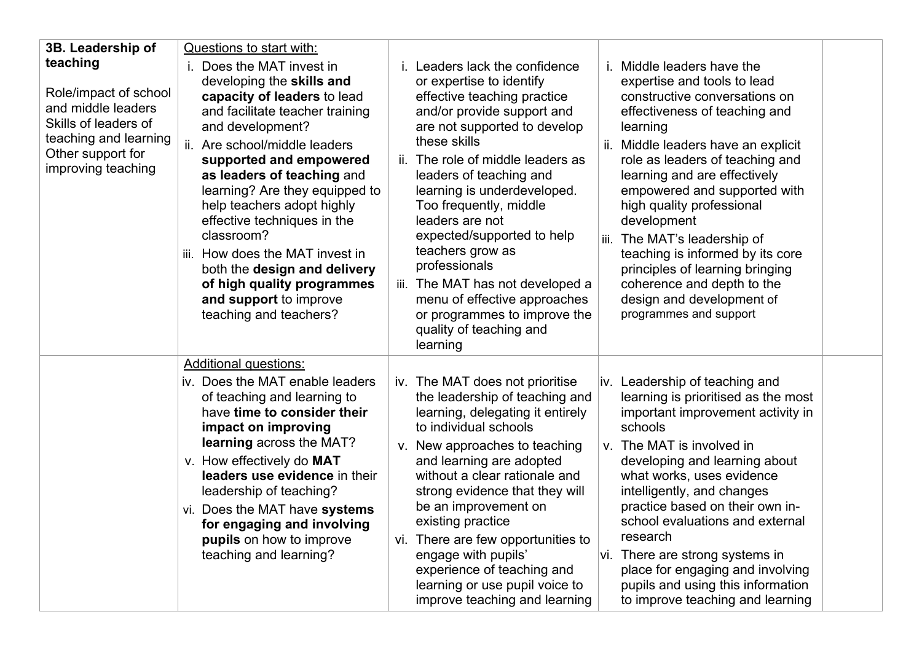| 3B. Leadership of<br>teaching<br>Role/impact of school<br>and middle leaders<br>Skills of leaders of<br>teaching and learning<br>Other support for<br>improving teaching | Questions to start with:<br>Does the MAT invest in<br>developing the skills and<br>capacity of leaders to lead<br>and facilitate teacher training<br>and development?<br>ii. Are school/middle leaders<br>supported and empowered<br>as leaders of teaching and<br>learning? Are they equipped to<br>help teachers adopt highly<br>effective techniques in the<br>classroom?<br>iii. How does the MAT invest in<br>both the design and delivery<br>of high quality programmes<br>and support to improve<br>teaching and teachers? | Leaders lack the confidence<br>Middle leaders have the<br>i.<br>or expertise to identify<br>expertise and tools to lead<br>effective teaching practice<br>constructive conversations on<br>and/or provide support and<br>effectiveness of teaching and<br>are not supported to develop<br>learning<br>these skills<br>Middle leaders have an explicit<br>ii.<br>ii. The role of middle leaders as<br>role as leaders of teaching and<br>learning and are effectively<br>leaders of teaching and<br>learning is underdeveloped.<br>empowered and supported with<br>Too frequently, middle<br>high quality professional<br>leaders are not<br>development<br>expected/supported to help<br>The MAT's leadership of<br>iii.<br>teachers grow as<br>teaching is informed by its core<br>professionals<br>principles of learning bringing<br>iii. The MAT has not developed a<br>coherence and depth to the<br>menu of effective approaches<br>design and development of<br>or programmes to improve the<br>programmes and support<br>quality of teaching and<br>learning |  |
|--------------------------------------------------------------------------------------------------------------------------------------------------------------------------|-----------------------------------------------------------------------------------------------------------------------------------------------------------------------------------------------------------------------------------------------------------------------------------------------------------------------------------------------------------------------------------------------------------------------------------------------------------------------------------------------------------------------------------|----------------------------------------------------------------------------------------------------------------------------------------------------------------------------------------------------------------------------------------------------------------------------------------------------------------------------------------------------------------------------------------------------------------------------------------------------------------------------------------------------------------------------------------------------------------------------------------------------------------------------------------------------------------------------------------------------------------------------------------------------------------------------------------------------------------------------------------------------------------------------------------------------------------------------------------------------------------------------------------------------------------------------------------------------------------------|--|
|                                                                                                                                                                          | <b>Additional questions:</b><br>iv. Does the MAT enable leaders<br>of teaching and learning to<br>have time to consider their<br>impact on improving<br><b>learning</b> across the MAT?<br>v. How effectively do MAT<br>leaders use evidence in their<br>leadership of teaching?<br>vi. Does the MAT have systems<br>for engaging and involving<br>pupils on how to improve<br>teaching and learning?                                                                                                                             | iv. The MAT does not prioritise<br>iv. Leadership of teaching and<br>the leadership of teaching and<br>learning is prioritised as the most<br>learning, delegating it entirely<br>important improvement activity in<br>schools<br>to individual schools<br>v. New approaches to teaching<br>v. The MAT is involved in<br>and learning are adopted<br>developing and learning about<br>without a clear rationale and<br>what works, uses evidence<br>strong evidence that they will<br>intelligently, and changes<br>practice based on their own in-<br>be an improvement on<br>existing practice<br>school evaluations and external<br>research<br>vi. There are few opportunities to<br>engage with pupils'<br>vi. There are strong systems in<br>experience of teaching and<br>place for engaging and involving<br>learning or use pupil voice to<br>pupils and using this information<br>improve teaching and learning<br>to improve teaching and learning                                                                                                        |  |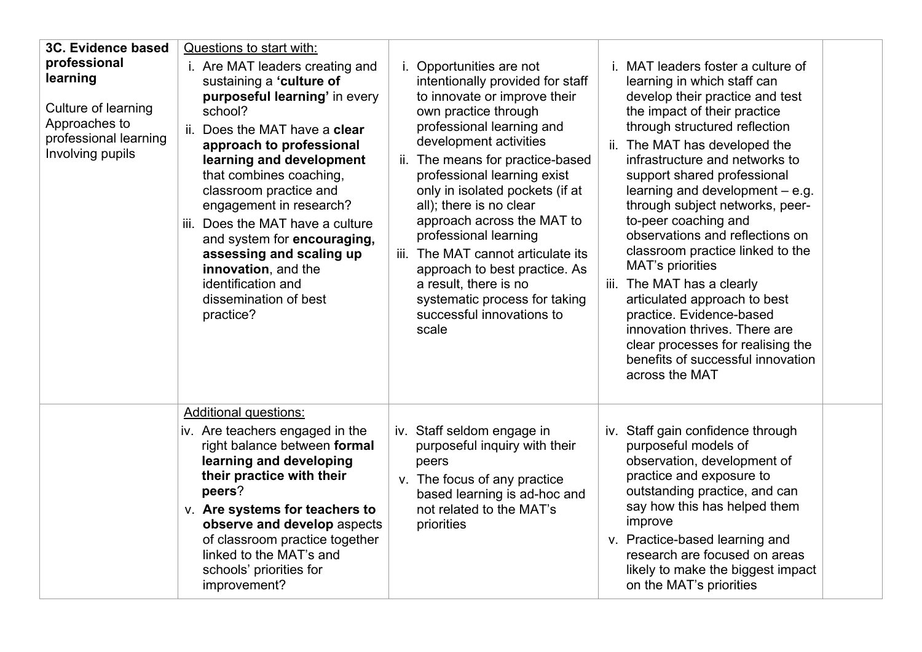| 3C. Evidence based<br>professional<br>learning<br>Culture of learning<br>Approaches to<br>professional learning<br>Involving pupils | Questions to start with:<br>i. Are MAT leaders creating and<br>sustaining a 'culture of<br>purposeful learning' in every<br>school?<br>Does the MAT have a <b>clear</b><br>ii.<br>approach to professional<br>learning and development<br>that combines coaching,<br>classroom practice and<br>engagement in research?<br>Does the MAT have a culture<br>iii.<br>and system for encouraging,<br>assessing and scaling up<br>innovation, and the<br>identification and<br>dissemination of best<br>practice? | i. Opportunities are not<br>intentionally provided for staff<br>to innovate or improve their<br>own practice through<br>professional learning and<br>development activities<br>ii. The means for practice-based<br>professional learning exist<br>only in isolated pockets (if at<br>all); there is no clear<br>approach across the MAT to<br>professional learning<br>iii. The MAT cannot articulate its<br>approach to best practice. As<br>a result, there is no<br>systematic process for taking<br>successful innovations to<br>scale | i. MAT leaders foster a culture of<br>learning in which staff can<br>develop their practice and test<br>the impact of their practice<br>through structured reflection<br>ii. The MAT has developed the<br>infrastructure and networks to<br>support shared professional<br>learning and development $-$ e.g.<br>through subject networks, peer-<br>to-peer coaching and<br>observations and reflections on<br>classroom practice linked to the<br><b>MAT's priorities</b><br>iii. The MAT has a clearly<br>articulated approach to best<br>practice. Evidence-based<br>innovation thrives. There are<br>clear processes for realising the<br>benefits of successful innovation<br>across the MAT |
|-------------------------------------------------------------------------------------------------------------------------------------|-------------------------------------------------------------------------------------------------------------------------------------------------------------------------------------------------------------------------------------------------------------------------------------------------------------------------------------------------------------------------------------------------------------------------------------------------------------------------------------------------------------|--------------------------------------------------------------------------------------------------------------------------------------------------------------------------------------------------------------------------------------------------------------------------------------------------------------------------------------------------------------------------------------------------------------------------------------------------------------------------------------------------------------------------------------------|--------------------------------------------------------------------------------------------------------------------------------------------------------------------------------------------------------------------------------------------------------------------------------------------------------------------------------------------------------------------------------------------------------------------------------------------------------------------------------------------------------------------------------------------------------------------------------------------------------------------------------------------------------------------------------------------------|
|                                                                                                                                     | <b>Additional questions:</b><br>iv. Are teachers engaged in the<br>right balance between formal<br>learning and developing<br>their practice with their<br>peers?<br>v. Are systems for teachers to<br>observe and develop aspects<br>of classroom practice together<br>linked to the MAT's and<br>schools' priorities for<br>improvement?                                                                                                                                                                  | iv. Staff seldom engage in<br>purposeful inquiry with their<br>peers<br>v. The focus of any practice<br>based learning is ad-hoc and<br>not related to the MAT's<br>priorities                                                                                                                                                                                                                                                                                                                                                             | iv. Staff gain confidence through<br>purposeful models of<br>observation, development of<br>practice and exposure to<br>outstanding practice, and can<br>say how this has helped them<br>improve<br>v. Practice-based learning and<br>research are focused on areas<br>likely to make the biggest impact<br>on the MAT's priorities                                                                                                                                                                                                                                                                                                                                                              |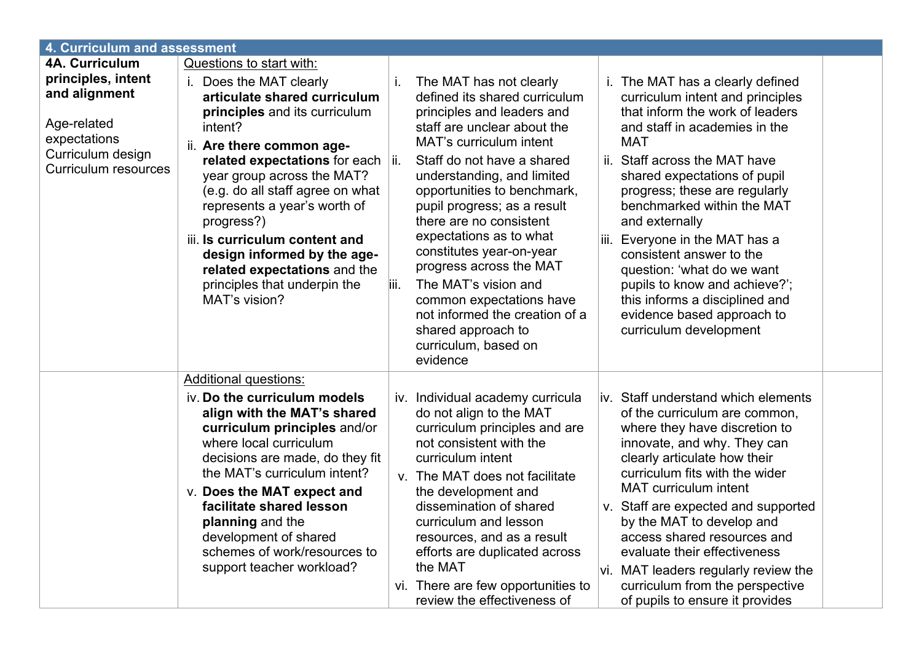| 4. Curriculum and assessment                                                                                           |                                                                                                                                                                                                                                                                                                                                                                                                                                             |             |                                                                                                                                                                                                                                                                                                                                                                                                                                                                                                                                                |      |                                                                                                                                                                                                                                                                                                                                                                                                                                                                                                                                 |  |
|------------------------------------------------------------------------------------------------------------------------|---------------------------------------------------------------------------------------------------------------------------------------------------------------------------------------------------------------------------------------------------------------------------------------------------------------------------------------------------------------------------------------------------------------------------------------------|-------------|------------------------------------------------------------------------------------------------------------------------------------------------------------------------------------------------------------------------------------------------------------------------------------------------------------------------------------------------------------------------------------------------------------------------------------------------------------------------------------------------------------------------------------------------|------|---------------------------------------------------------------------------------------------------------------------------------------------------------------------------------------------------------------------------------------------------------------------------------------------------------------------------------------------------------------------------------------------------------------------------------------------------------------------------------------------------------------------------------|--|
| <b>4A. Curriculum</b>                                                                                                  | Questions to start with:                                                                                                                                                                                                                                                                                                                                                                                                                    |             |                                                                                                                                                                                                                                                                                                                                                                                                                                                                                                                                                |      |                                                                                                                                                                                                                                                                                                                                                                                                                                                                                                                                 |  |
| principles, intent<br>and alignment<br>Age-related<br>expectations<br>Curriculum design<br><b>Curriculum resources</b> | Does the MAT clearly<br>İ.<br>articulate shared curriculum<br>principles and its curriculum<br>intent?<br>ii. Are there common age-<br>related expectations for each  ii.<br>year group across the MAT?<br>(e.g. do all staff agree on what<br>represents a year's worth of<br>progress?)<br>iii. Is curriculum content and<br>design informed by the age-<br>related expectations and the<br>principles that underpin the<br>MAT's vision? | i.<br>liii. | The MAT has not clearly<br>defined its shared curriculum<br>principles and leaders and<br>staff are unclear about the<br><b>MAT's curriculum intent</b><br>Staff do not have a shared<br>understanding, and limited<br>opportunities to benchmark,<br>pupil progress; as a result<br>there are no consistent<br>expectations as to what<br>constitutes year-on-year<br>progress across the MAT<br>The MAT's vision and<br>common expectations have<br>not informed the creation of a<br>shared approach to<br>curriculum, based on<br>evidence |      | i. The MAT has a clearly defined<br>curriculum intent and principles<br>that inform the work of leaders<br>and staff in academies in the<br><b>MAT</b><br>ii. Staff across the MAT have<br>shared expectations of pupil<br>progress; these are regularly<br>benchmarked within the MAT<br>and externally<br>iii. Everyone in the MAT has a<br>consistent answer to the<br>question: 'what do we want<br>pupils to know and achieve?';<br>this informs a disciplined and<br>evidence based approach to<br>curriculum development |  |
|                                                                                                                        | <b>Additional questions:</b>                                                                                                                                                                                                                                                                                                                                                                                                                |             |                                                                                                                                                                                                                                                                                                                                                                                                                                                                                                                                                |      |                                                                                                                                                                                                                                                                                                                                                                                                                                                                                                                                 |  |
|                                                                                                                        | iv. Do the curriculum models<br>align with the MAT's shared<br>curriculum principles and/or<br>where local curriculum<br>decisions are made, do they fit<br>the MAT's curriculum intent?<br>v. Does the MAT expect and<br>facilitate shared lesson<br>planning and the<br>development of shared<br>schemes of work/resources to<br>support teacher workload?                                                                                |             | iv. Individual academy curricula<br>do not align to the MAT<br>curriculum principles and are<br>not consistent with the<br>curriculum intent<br>v. The MAT does not facilitate<br>the development and<br>dissemination of shared<br>curriculum and lesson<br>resources, and as a result<br>efforts are duplicated across<br>the MAT<br>vi. There are few opportunities to<br>review the effectiveness of                                                                                                                                       | lvi. | <u>liv.</u> Staff understand which elements<br>of the curriculum are common,<br>where they have discretion to<br>innovate, and why. They can<br>clearly articulate how their<br>curriculum fits with the wider<br><b>MAT</b> curriculum intent<br>v. Staff are expected and supported<br>by the MAT to develop and<br>access shared resources and<br>evaluate their effectiveness<br>MAT leaders regularly review the<br>curriculum from the perspective<br>of pupils to ensure it provides                                     |  |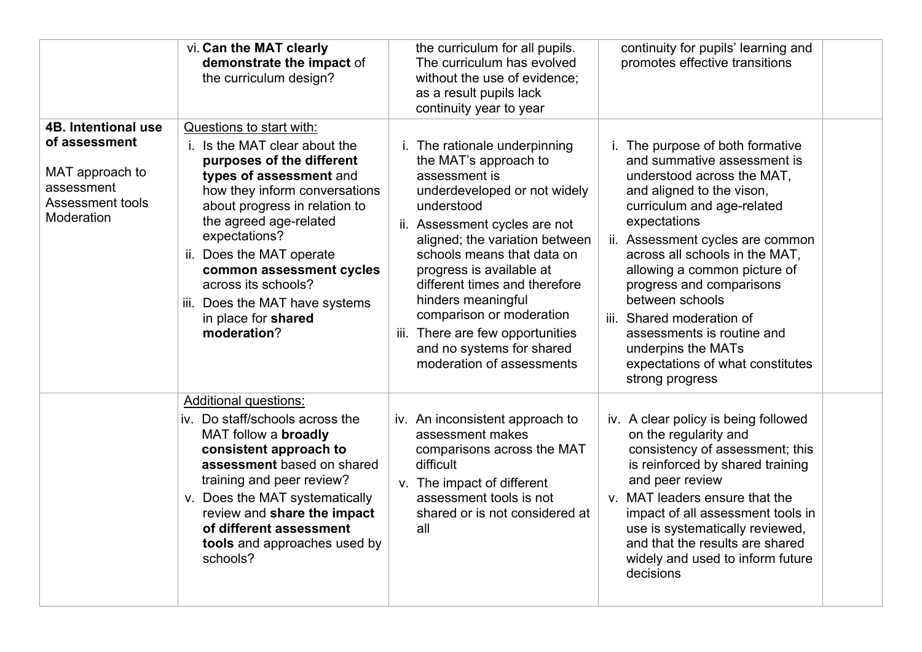|                                                                                                                       | vi. Can the MAT clearly<br>demonstrate the impact of<br>the curriculum design?                                                                                                                                                                                                                                                                                                        | the curriculum for all pupils.<br>The curriculum has evolved<br>without the use of evidence;<br>as a result pupils lack<br>continuity year to year                                                                                                                                                                                                                                                                                  | continuity for pupils' learning and<br>promotes effective transitions                                                                                                                                                                                                                                                                                                                                                                                                 |
|-----------------------------------------------------------------------------------------------------------------------|---------------------------------------------------------------------------------------------------------------------------------------------------------------------------------------------------------------------------------------------------------------------------------------------------------------------------------------------------------------------------------------|-------------------------------------------------------------------------------------------------------------------------------------------------------------------------------------------------------------------------------------------------------------------------------------------------------------------------------------------------------------------------------------------------------------------------------------|-----------------------------------------------------------------------------------------------------------------------------------------------------------------------------------------------------------------------------------------------------------------------------------------------------------------------------------------------------------------------------------------------------------------------------------------------------------------------|
| <b>4B. Intentional use</b><br>of assessment<br>MAT approach to<br>assessment<br><b>Assessment tools</b><br>Moderation | Questions to start with:<br>i. Is the MAT clear about the<br>purposes of the different<br>types of assessment and<br>how they inform conversations<br>about progress in relation to<br>the agreed age-related<br>expectations?<br>ii. Does the MAT operate<br>common assessment cycles<br>across its schools?<br>iii. Does the MAT have systems<br>in place for shared<br>moderation? | i. The rationale underpinning<br>the MAT's approach to<br>assessment is<br>underdeveloped or not widely<br>understood<br>ii. Assessment cycles are not<br>aligned; the variation between<br>schools means that data on<br>progress is available at<br>different times and therefore<br>hinders meaningful<br>comparison or moderation<br>iii. There are few opportunities<br>and no systems for shared<br>moderation of assessments | i. The purpose of both formative<br>and summative assessment is<br>understood across the MAT,<br>and aligned to the vison,<br>curriculum and age-related<br>expectations<br>ii. Assessment cycles are common<br>across all schools in the MAT,<br>allowing a common picture of<br>progress and comparisons<br>between schools<br>iii. Shared moderation of<br>assessments is routine and<br>underpins the MATs<br>expectations of what constitutes<br>strong progress |
|                                                                                                                       | <b>Additional questions:</b><br>iv. Do staff/schools across the<br>MAT follow a <b>broadly</b><br>consistent approach to<br>assessment based on shared<br>training and peer review?<br>v. Does the MAT systematically<br>review and share the impact<br>of different assessment<br>tools and approaches used by<br>schools?                                                           | iv. An inconsistent approach to<br>assessment makes<br>comparisons across the MAT<br>difficult<br>v. The impact of different<br>assessment tools is not<br>shared or is not considered at<br>all                                                                                                                                                                                                                                    | iv. A clear policy is being followed<br>on the regularity and<br>consistency of assessment; this<br>is reinforced by shared training<br>and peer review<br>v. MAT leaders ensure that the<br>impact of all assessment tools in<br>use is systematically reviewed,<br>and that the results are shared<br>widely and used to inform future<br>decisions                                                                                                                 |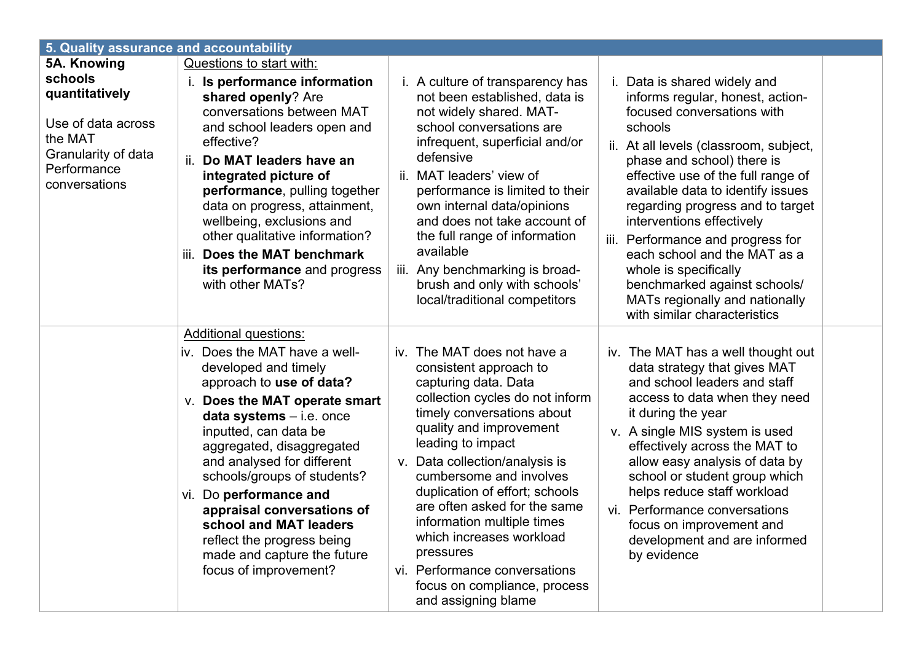| 5. Quality assurance and accountability                                   |                                                                                                                                                                                                                                                                                                                                                                                                                                                                                                                                                                                                                                                                                                                                                                                                                                                                                                                                                                                                                                                                                                                                                                                                                                                                                                                                                                                                    |  |
|---------------------------------------------------------------------------|----------------------------------------------------------------------------------------------------------------------------------------------------------------------------------------------------------------------------------------------------------------------------------------------------------------------------------------------------------------------------------------------------------------------------------------------------------------------------------------------------------------------------------------------------------------------------------------------------------------------------------------------------------------------------------------------------------------------------------------------------------------------------------------------------------------------------------------------------------------------------------------------------------------------------------------------------------------------------------------------------------------------------------------------------------------------------------------------------------------------------------------------------------------------------------------------------------------------------------------------------------------------------------------------------------------------------------------------------------------------------------------------------|--|
| 5A. Knowing<br>schools<br>quantitatively<br>Use of data across<br>the MAT | Questions to start with:<br>i. Is performance information<br>i. A culture of transparency has<br>i. Data is shared widely and<br>not been established, data is<br>informs regular, honest, action-<br>shared openly? Are<br>conversations between MAT<br>not widely shared. MAT-<br>focused conversations with<br>school conversations are<br>schools<br>and school leaders open and<br>effective?<br>infrequent, superficial and/or<br>ii. At all levels (classroom, subject,                                                                                                                                                                                                                                                                                                                                                                                                                                                                                                                                                                                                                                                                                                                                                                                                                                                                                                                     |  |
| Granularity of data<br>Performance<br>conversations                       | defensive<br>ii. Do MAT leaders have an<br>phase and school) there is<br>ii. MAT leaders' view of<br>effective use of the full range of<br>integrated picture of<br>available data to identify issues<br>performance, pulling together<br>performance is limited to their<br>data on progress, attainment,<br>own internal data/opinions<br>regarding progress and to target<br>wellbeing, exclusions and<br>and does not take account of<br>interventions effectively<br>other qualitative information?<br>the full range of information<br>iii. Performance and progress for<br>available<br>iii. Does the MAT benchmark<br>each school and the MAT as a<br>iii. Any benchmarking is broad-<br>whole is specifically<br>its performance and progress<br>with other MATs?<br>brush and only with schools'<br>benchmarked against schools/<br>local/traditional competitors<br>MATs regionally and nationally<br>with similar characteristics                                                                                                                                                                                                                                                                                                                                                                                                                                                      |  |
|                                                                           | <b>Additional questions:</b>                                                                                                                                                                                                                                                                                                                                                                                                                                                                                                                                                                                                                                                                                                                                                                                                                                                                                                                                                                                                                                                                                                                                                                                                                                                                                                                                                                       |  |
|                                                                           | iv. Does the MAT have a well-<br>iv. The MAT does not have a<br>iv. The MAT has a well thought out<br>developed and timely<br>data strategy that gives MAT<br>consistent approach to<br>and school leaders and staff<br>approach to use of data?<br>capturing data. Data<br>collection cycles do not inform<br>access to data when they need<br><b>v.</b> Does the MAT operate smart<br>timely conversations about<br>it during the year<br>$data$ systems $-$ i.e. once<br>quality and improvement<br>inputted, can data be<br>v. A single MIS system is used<br>leading to impact<br>effectively across the MAT to<br>aggregated, disaggregated<br>and analysed for different<br>v. Data collection/analysis is<br>allow easy analysis of data by<br>schools/groups of students?<br>cumbersome and involves<br>school or student group which<br>duplication of effort; schools<br>helps reduce staff workload<br>vi. Do performance and<br>are often asked for the same<br>vi. Performance conversations<br>appraisal conversations of<br>information multiple times<br>school and MAT leaders<br>focus on improvement and<br>which increases workload<br>development and are informed<br>reflect the progress being<br>pressures<br>made and capture the future<br>by evidence<br>focus of improvement?<br>vi. Performance conversations<br>focus on compliance, process<br>and assigning blame |  |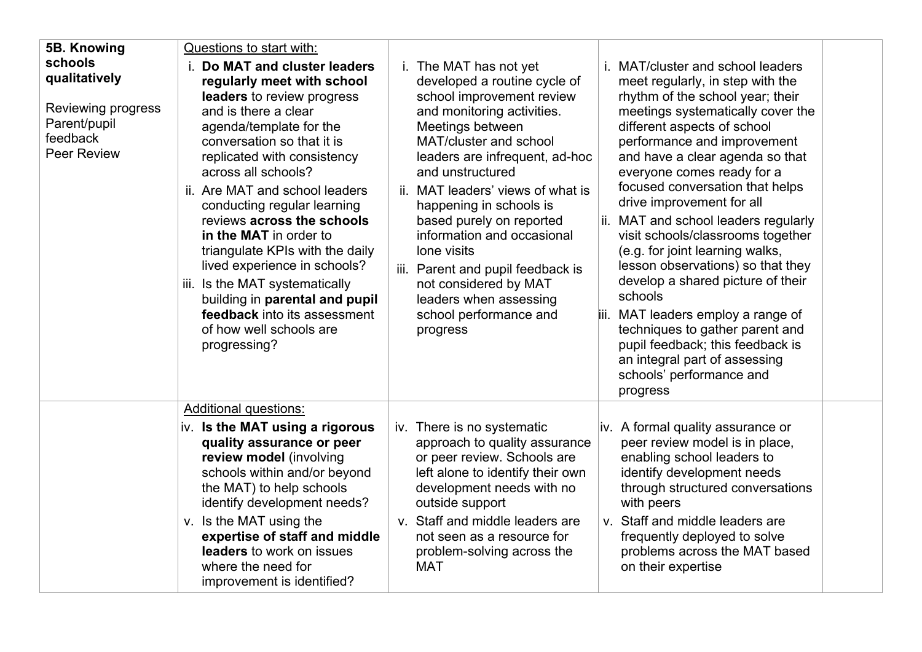| 5B. Knowing<br>schools<br>qualitatively<br>Reviewing progress<br>Parent/pupil<br>feedback<br><b>Peer Review</b> | Questions to start with:<br>Do MAT and cluster leaders<br>regularly meet with school<br>leaders to review progress<br>and is there a clear<br>agenda/template for the<br>conversation so that it is<br>replicated with consistency<br>across all schools?<br>ii. Are MAT and school leaders<br>conducting regular learning<br>reviews across the schools<br>in the MAT in order to<br>triangulate KPIs with the daily<br>lived experience in schools?<br>iii. Is the MAT systematically<br>building in parental and pupil<br><b>feedback</b> into its assessment<br>of how well schools are<br>progressing? | i. The MAT has not yet<br>developed a routine cycle of<br>school improvement review<br>and monitoring activities.<br>Meetings between<br>MAT/cluster and school<br>leaders are infrequent, ad-hoc<br>and unstructured<br>ii. MAT leaders' views of what is<br>happening in schools is<br>based purely on reported<br>information and occasional<br>lone visits<br>iii. Parent and pupil feedback is<br>not considered by MAT<br>leaders when assessing<br>school performance and<br>progress | MAT/cluster and school leaders<br>i.<br>meet regularly, in step with the<br>rhythm of the school year; their<br>meetings systematically cover the<br>different aspects of school<br>performance and improvement<br>and have a clear agenda so that<br>everyone comes ready for a<br>focused conversation that helps<br>drive improvement for all<br>ii. MAT and school leaders regularly<br>visit schools/classrooms together<br>(e.g. for joint learning walks,<br>lesson observations) so that they<br>develop a shared picture of their<br>schools<br>MAT leaders employ a range of<br>iii.<br>techniques to gather parent and<br>pupil feedback; this feedback is<br>an integral part of assessing<br>schools' performance and |
|-----------------------------------------------------------------------------------------------------------------|-------------------------------------------------------------------------------------------------------------------------------------------------------------------------------------------------------------------------------------------------------------------------------------------------------------------------------------------------------------------------------------------------------------------------------------------------------------------------------------------------------------------------------------------------------------------------------------------------------------|----------------------------------------------------------------------------------------------------------------------------------------------------------------------------------------------------------------------------------------------------------------------------------------------------------------------------------------------------------------------------------------------------------------------------------------------------------------------------------------------|------------------------------------------------------------------------------------------------------------------------------------------------------------------------------------------------------------------------------------------------------------------------------------------------------------------------------------------------------------------------------------------------------------------------------------------------------------------------------------------------------------------------------------------------------------------------------------------------------------------------------------------------------------------------------------------------------------------------------------|
|                                                                                                                 |                                                                                                                                                                                                                                                                                                                                                                                                                                                                                                                                                                                                             |                                                                                                                                                                                                                                                                                                                                                                                                                                                                                              | progress                                                                                                                                                                                                                                                                                                                                                                                                                                                                                                                                                                                                                                                                                                                           |
|                                                                                                                 | <b>Additional questions:</b><br>iv. Is the MAT using a rigorous<br>quality assurance or peer<br>review model (involving<br>schools within and/or beyond<br>the MAT) to help schools<br>identify development needs?<br>v. Is the MAT using the<br>expertise of staff and middle<br>leaders to work on issues<br>where the need for<br>improvement is identified?                                                                                                                                                                                                                                             | iv. There is no systematic<br>approach to quality assurance<br>or peer review. Schools are<br>left alone to identify their own<br>development needs with no<br>outside support<br>v. Staff and middle leaders are<br>not seen as a resource for<br>problem-solving across the<br><b>MAT</b>                                                                                                                                                                                                  | iv. A formal quality assurance or<br>peer review model is in place,<br>enabling school leaders to<br>identify development needs<br>through structured conversations<br>with peers<br>v. Staff and middle leaders are<br>frequently deployed to solve<br>problems across the MAT based<br>on their expertise                                                                                                                                                                                                                                                                                                                                                                                                                        |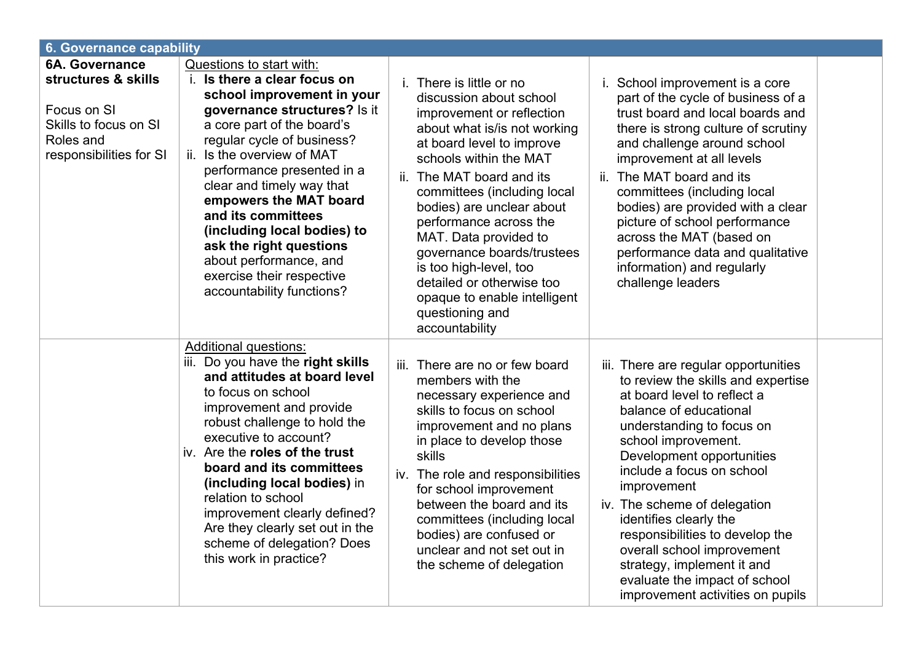| <b>6. Governance capability</b>                                                                                              |                                                                                                                                                                                                                                                                                                                                                                                                                                                                                     |                                                                                                                                                                                                                                                                                                                                                                                                                                                                                                                                                                                                                                                                                                                                                                                                                                                                                                                                                    |  |  |  |  |
|------------------------------------------------------------------------------------------------------------------------------|-------------------------------------------------------------------------------------------------------------------------------------------------------------------------------------------------------------------------------------------------------------------------------------------------------------------------------------------------------------------------------------------------------------------------------------------------------------------------------------|----------------------------------------------------------------------------------------------------------------------------------------------------------------------------------------------------------------------------------------------------------------------------------------------------------------------------------------------------------------------------------------------------------------------------------------------------------------------------------------------------------------------------------------------------------------------------------------------------------------------------------------------------------------------------------------------------------------------------------------------------------------------------------------------------------------------------------------------------------------------------------------------------------------------------------------------------|--|--|--|--|
| <b>6A. Governance</b><br>structures & skills<br>Focus on SI<br>Skills to focus on SI<br>Roles and<br>responsibilities for SI | <b>Questions to start with:</b><br>i. Is there a clear focus on<br>school improvement in your<br>governance structures? Is it<br>a core part of the board's<br>regular cycle of business?<br>Is the overview of MAT<br>ii.<br>performance presented in a<br>clear and timely way that<br>empowers the MAT board<br>and its committees<br>(including local bodies) to<br>ask the right questions<br>about performance, and<br>exercise their respective<br>accountability functions? | i. There is little or no<br>i. School improvement is a core<br>part of the cycle of business of a<br>discussion about school<br>trust board and local boards and<br>improvement or reflection<br>about what is/is not working<br>there is strong culture of scrutiny<br>at board level to improve<br>and challenge around school<br>schools within the MAT<br>improvement at all levels<br>ii. The MAT board and its<br>ii. The MAT board and its<br>committees (including local<br>committees (including local<br>bodies) are provided with a clear<br>bodies) are unclear about<br>picture of school performance<br>performance across the<br>MAT. Data provided to<br>across the MAT (based on<br>governance boards/trustees<br>performance data and qualitative<br>is too high-level, too<br>information) and regularly<br>challenge leaders<br>detailed or otherwise too<br>opaque to enable intelligent<br>questioning and<br>accountability |  |  |  |  |
|                                                                                                                              | <b>Additional questions:</b><br>iii. Do you have the right skills<br>and attitudes at board level<br>to focus on school<br>improvement and provide<br>robust challenge to hold the<br>executive to account?<br>iv. Are the roles of the trust<br>board and its committees<br>(including local bodies) in<br>relation to school<br>improvement clearly defined?<br>Are they clearly set out in the<br>scheme of delegation? Does<br>this work in practice?                           | iii.<br>There are no or few board<br>iii. There are regular opportunities<br>to review the skills and expertise<br>members with the<br>at board level to reflect a<br>necessary experience and<br>skills to focus on school<br>balance of educational<br>improvement and no plans<br>understanding to focus on<br>in place to develop those<br>school improvement.<br>skills<br>Development opportunities<br>include a focus on school<br>iv. The role and responsibilities<br>improvement<br>for school improvement<br>between the board and its<br>iv. The scheme of delegation<br>identifies clearly the<br>committees (including local<br>responsibilities to develop the<br>bodies) are confused or<br>unclear and not set out in<br>overall school improvement<br>the scheme of delegation<br>strategy, implement it and<br>evaluate the impact of school<br>improvement activities on pupils                                                |  |  |  |  |